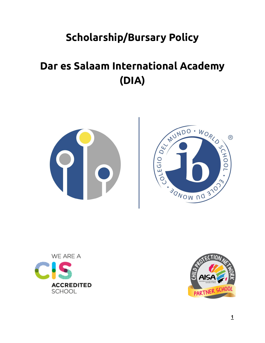# **Scholarship/Bursary Policy**

# **Dar es Salaam International Academy (DIA)**







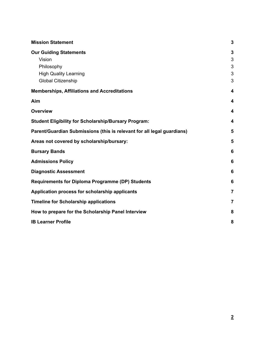| <b>Mission Statement</b>                                               |   |  |
|------------------------------------------------------------------------|---|--|
| <b>Our Guiding Statements</b>                                          | 3 |  |
| Vision                                                                 | 3 |  |
| Philosophy                                                             | 3 |  |
| <b>High Quality Learning</b>                                           | 3 |  |
| <b>Global Citizenship</b>                                              | 3 |  |
| <b>Memberships, Affiliations and Accreditations</b>                    | 4 |  |
| Aim                                                                    | 4 |  |
| <b>Overview</b>                                                        | 4 |  |
| <b>Student Eligibility for Scholarship/Bursary Program:</b>            | 4 |  |
| Parent/Guardian Submissions (this is relevant for all legal guardians) | 5 |  |
| Areas not covered by scholarship/bursary:                              | 5 |  |
| <b>Bursary Bands</b>                                                   |   |  |
| <b>Admissions Policy</b>                                               |   |  |
| <b>Diagnostic Assessment</b>                                           |   |  |
| <b>Requirements for Diploma Programme (DP) Students</b>                |   |  |
| Application process for scholarship applicants                         |   |  |
| <b>Timeline for Scholarship applications</b>                           |   |  |
| How to prepare for the Scholarship Panel Interview                     | 8 |  |
| <b>IB Learner Profile</b>                                              | 8 |  |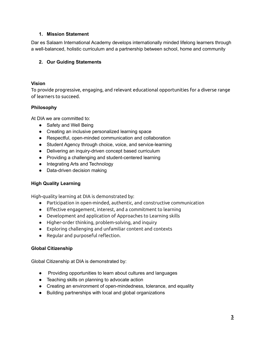#### <span id="page-2-0"></span>**1. Mission Statement**

Dar es Salaam International Academy develops internationally minded lifelong learners through a well-balanced, holistic curriculum and a partnership between school, home and community

#### <span id="page-2-1"></span>**2. Our Guiding Statements**

#### <span id="page-2-2"></span>**Vision**

To provide progressive, engaging, and relevant educational opportunities for a diverse range of learners to succeed.

#### <span id="page-2-3"></span>**Philosophy**

At DIA we are committed to:

- Safety and Well Being
- Creating an inclusive personalized learning space
- Respectful, open-minded communication and collaboration
- Student Agency through choice, voice, and service-learning
- Delivering an inquiry-driven concept based curriculum
- Providing a challenging and student-centered learning
- Integrating Arts and Technology
- Data-driven decision making

# <span id="page-2-4"></span>**High Quality Learning**

High-quality learning at DIA is demonstrated by:

- Participation in open-minded, authentic, and constructive communication
- Effective engagement, interest, and a commitment to learning
- Development and application of Approaches to Learning skills
- Higher-order thinking, problem-solving, and inquiry
- Exploring challenging and unfamiliar content and contexts
- Regular and purposeful reflection.

#### <span id="page-2-5"></span>**Global Citizenship**

Global Citizenship at DIA is demonstrated by:

- Providing opportunities to learn about cultures and languages
- Teaching skills on planning to advocate action
- Creating an environment of open-mindedness, tolerance, and equality
- Building partnerships with local and global organizations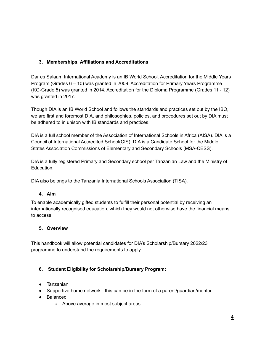# <span id="page-3-0"></span>**3. Memberships, Affiliations and Accreditations**

Dar es Salaam International Academy is an IB World School. Accreditation for the Middle Years Program (Grades 6 – 10) was granted in 2009. Accreditation for Primary Years Programme (KG-Grade 5) was granted in 2014. Accreditation for the Diploma Programme (Grades 11 - 12) was granted in 2017.

Though DIA is an IB World School and follows the standards and practices set out by the IBO, we are first and foremost DIA, and philosophies, policies, and procedures set out by DIA must be adhered to in unison with IB standards and practices.

DIA is a full school member of the Association of International Schools in Africa (AISA). DIA is a Council of International Accredited School(CIS). DIA is a Candidate School for the Middle States Association Commissions of Elementary and Secondary Schools (MSA-CESS).

DIA is a fully registered Primary and Secondary school per Tanzanian Law and the Ministry of Education.

DIA also belongs to the Tanzania International Schools Association (TISA).

# <span id="page-3-1"></span>**4. Aim**

To enable academically gifted students to fulfill their personal potential by receiving an internationally recognised education, which they would not otherwise have the financial means to access.

# <span id="page-3-2"></span>**5. Overview**

This handbook will allow potential candidates for DIA's Scholarship/Bursary 2022/23 programme to understand the requirements to apply.

# <span id="page-3-3"></span>**6. Student Eligibility for Scholarship/Bursary Program:**

- Tanzanian
- Supportive home network this can be in the form of a parent/guardian/mentor
- Balanced
	- Above average in most subject areas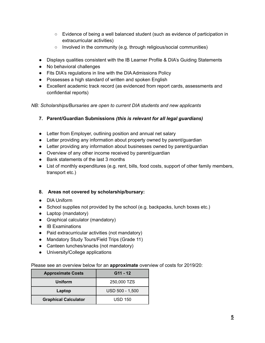- Evidence of being a well balanced student (such as evidence of participation in extracurricular activities)
- Involved in the community (e.g. through religious/social communities)
- Displays qualities consistent with the IB Learner Profile & DIA's Guiding Statements
- No behavioral challenges
- Fits DIA's regulations in line with the DIA Admissions Policy
- Possesses a high standard of written and spoken English
- Excellent academic track record (as evidenced from report cards, assessments and confidential reports)

*NB: Scholarships/Bursaries are open to current DIA students and new applicants*

- <span id="page-4-0"></span>**7. Parent/Guardian Submissions** *(this is relevant for all legal guardians)*
- Letter from Employer, outlining position and annual net salary
- Letter providing any information about property owned by parent/guardian
- Letter providing any information about businesses owned by parent/guardian
- Overview of any other income received by parent/guardian
- Bank statements of the last 3 months
- List of monthly expenditures (e.g. rent, bills, food costs, support of other family members, transport etc.)

#### <span id="page-4-1"></span>**8. Areas not covered by scholarship/bursary:**

- DIA Uniform
- School supplies not provided by the school (e.g. backpacks, lunch boxes etc.)
- Laptop (mandatory)
- Graphical calculator (mandatory)
- IB Examinations
- Paid extracurricular activities (not mandatory)
- Mandatory Study Tours/Field Trips (Grade 11)
- Canteen lunches/snacks (not mandatory)
- University/College applications

Please see an overview below for an **approximate** overview of costs for 2019/20:

| <b>Approximate Costs</b>    | $G11 - 12$      |  |
|-----------------------------|-----------------|--|
| Uniform                     | 250,000 TZS     |  |
| Laptop                      | USD 500 - 1,500 |  |
| <b>Graphical Calculator</b> | <b>USD 150</b>  |  |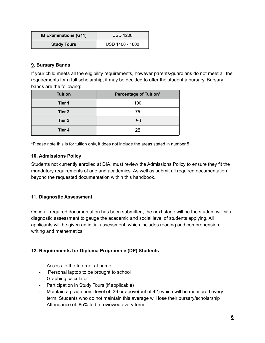| <b>IB Examinations (G11)</b> | <b>USD 1200</b> |
|------------------------------|-----------------|
| <b>Study Tours</b>           | USD 1400 - 1800 |

#### <span id="page-5-0"></span>**9. Bursary Bands**

If your child meets all the eligibility requirements, however parents/guardians do not meet all the requirements for a full scholarship, it may be decided to offer the student a bursary. Bursary bands are the following:

| <b>Tuition</b> | <b>Percentage of Tuition*</b> |
|----------------|-------------------------------|
| Tier 1         | 100                           |
| Tier 2         | 75                            |
| Tier 3         | 50                            |
| Tier 4         | 25                            |

\*Please note this is for tuition only, it does not include the areas stated in number 5

### <span id="page-5-1"></span>**10. Admissions Policy**

Students not currently enrolled at DIA, must review the Admissions Policy to ensure they fit the mandatory requirements of age and academics. As well as submit all required documentation beyond the requested documentation within this handbook.

# <span id="page-5-2"></span>**11. Diagnostic Assessment**

Once all required documentation has been submitted, the next stage will be the student will sit a diagnostic assessment to gauge the academic and social level of students applying. All applicants will be given an initial assessment, which includes reading and comprehension, writing and mathematics.

# <span id="page-5-3"></span>**12. Requirements for Diploma Programme (DP) Students**

- Access to the Internet at home
- Personal laptop to be brought to school
- Graphing calculator
- Participation in Study Tours (if applicable)
- Maintain a grade point level of: 36 or above(out of 42) which will be monitored every term. Students who do not maintain this average will lose their bursary/scholarship
- Attendance of: 85% to be reviewed every term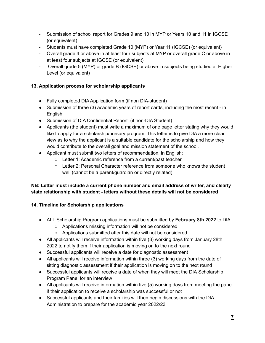- Submission of school report for Grades 9 and 10 in MYP or Years 10 and 11 in IGCSE (or equivalent)
- Students must have completed Grade 10 (MYP) or Year 11 (IGCSE) (or equivalent)
- Overall grade 4 or above in at least four subjects at MYP or overall grade C or above in at least four subjects at IGCSE (or equivalent)
- Overall grade 5 (MYP) or grade B (IGCSE) or above in subjects being studied at Higher Level (or equivalent)

# <span id="page-6-0"></span>**13. Application process for scholarship applicants**

- Fully completed DIA Application form (if non DIA-student)
- Submission of three (3) academic years of report cards, including the most recent in English
- Submission of DIA Confidential Report (if non-DIA Student)
- Applicants (the student) must write a maximum of one page letter stating why they would like to apply for a scholarship/bursary program. This letter is to give DIA a more clear view as to why the applicant is a suitable candidate for the scholarship and how they would contribute to the overall goal and mission statement of the school.
- Applicant must submit two letters of recommendation, in English:
	- Letter 1: Academic reference from a current/past teacher
	- Letter 2: Personal Character reference from someone who knows the student well (cannot be a parent/guardian or directly related)

# **NB: Letter must include a current phone number and email address of writer, and clearly state relationship with student - letters without these details will not be considered**

# <span id="page-6-1"></span>**14. Timeline for Scholarship applications**

- ALL Scholarship Program applications must be submitted by **February 8th 2022** to DIA
	- Applications missing information will not be considered
	- Applications submitted after this date will not be considered
- All applicants will receive information within five (3) working days from January 28th 2022 to notify them if their application is moving on to the next round
- Successful applicants will receive a date for diagnostic assessment
- All applicants will receive information within three (3) working days from the date of sitting diagnostic assessment if their application is moving on to the next round
- Successful applicants will receive a date of when they will meet the DIA Scholarship Program Panel for an interview
- All applicants will receive information within five (5) working days from meeting the panel if their application to receive a scholarship was successful or not
- Successful applicants and their families will then begin discussions with the DIA Administration to prepare for the academic year 2022/23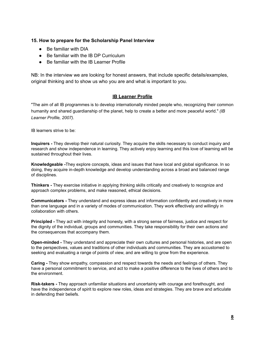#### <span id="page-7-0"></span>**15. How to prepare for the Scholarship Panel Interview**

- Be familiar with DIA
- Be familiar with the IB DP Curriculum
- Be familiar with the IB Learner Profile

NB: In the interview we are looking for honest answers, that include specific details/examples, original thinking and to show us who you are and what is important to you.

#### **IB Learner Profile**

<span id="page-7-1"></span>"The aim of all IB programmes is to develop internationally minded people who, recognizing their common humanity and shared guardianship of the planet, help to create a better and more peaceful world." *(IB Learner Profile, 2007).*

IB learners strive to be:

**Inquirers -** They develop their natural curiosity. They acquire the skills necessary to conduct inquiry and research and show independence in learning. They actively enjoy learning and this love of learning will be sustained throughout their lives.

**Knowledgeable -**They explore concepts, ideas and issues that have local and global significance. In so doing, they acquire in-depth knowledge and develop understanding across a broad and balanced range of disciplines.

**Thinkers -** They exercise initiative in applying thinking skills critically and creatively to recognize and approach complex problems, and make reasoned, ethical decisions.

**Communicators -** They understand and express ideas and information confidently and creatively in more than one language and in a variety of modes of communication. They work effectively and willingly in collaboration with others.

**Principled -** They act with integrity and honesty, with a strong sense of fairness, justice and respect for the dignity of the individual, groups and communities. They take responsibility for their own actions and the consequences that accompany them.

**Open-minded -** They understand and appreciate their own cultures and personal histories, and are open to the perspectives, values and traditions of other individuals and communities. They are accustomed to seeking and evaluating a range of points of view, and are willing to grow from the experience.

**Caring -** They show empathy, compassion and respect towards the needs and feelings of others. They have a personal commitment to service, and act to make a positive difference to the lives of others and to the environment.

**Risk-takers -** They approach unfamiliar situations and uncertainty with courage and forethought, and have the independence of spirit to explore new roles, ideas and strategies. They are brave and articulate in defending their beliefs.